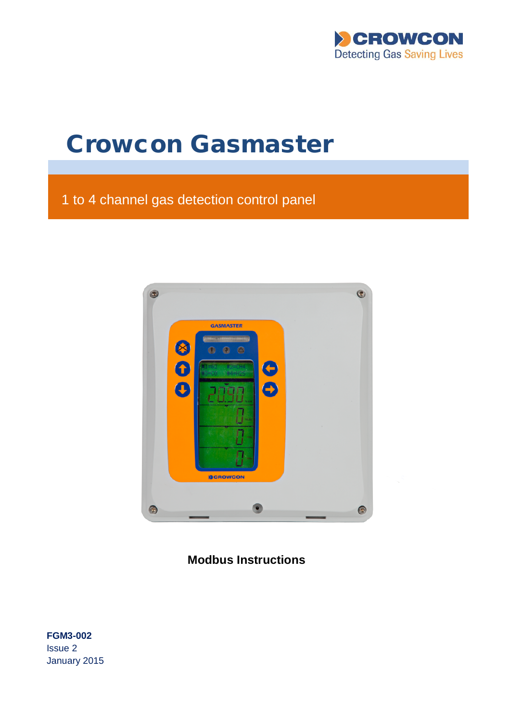

# **Crowcon Gasmaster**

# 1 to 4 channel gas detection control panel



**Modbus Instructions**

**FGM3-002** Issue 2 January 2015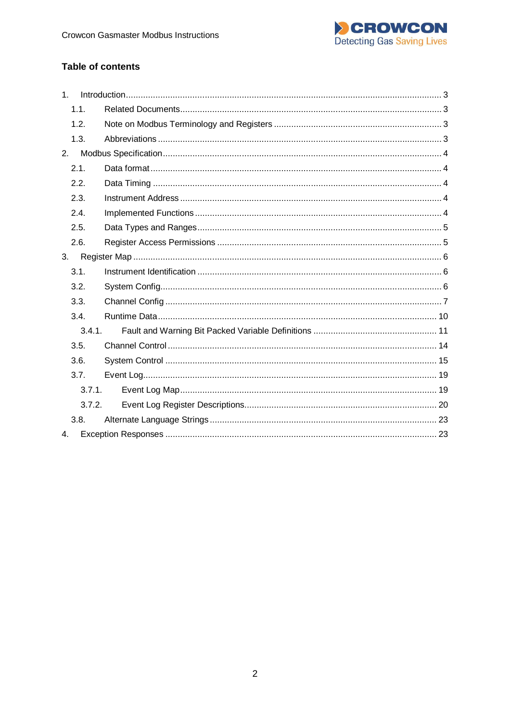

## **Table of contents**

| 1 <sub>1</sub> |  |
|----------------|--|
| 1.1.           |  |
| 1.2.           |  |
| 1.3.           |  |
| 2.             |  |
| 2.1.           |  |
| 2.2.           |  |
| 2.3.           |  |
| 2.4.           |  |
| 2.5.           |  |
| 2.6.           |  |
| 3.             |  |
| 3.1.           |  |
| 3.2.           |  |
| 3.3.           |  |
| 3.4.           |  |
| 3.4.1.         |  |
| 3.5.           |  |
| 3.6.           |  |
| 3.7.           |  |
| 3.7.1.         |  |
| 3.7.2.         |  |
| 3.8.           |  |
| 4.             |  |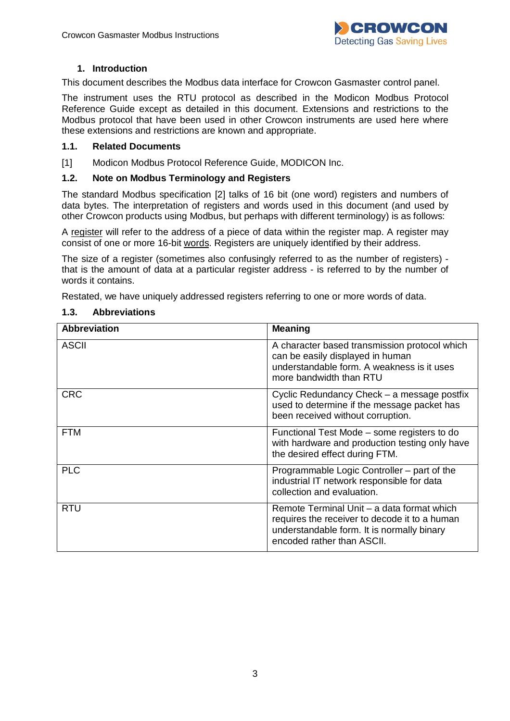

#### <span id="page-2-0"></span>**1. Introduction**

This document describes the Modbus data interface for Crowcon Gasmaster control panel.

The instrument uses the RTU protocol as described in the Modicon Modbus Protocol Reference Guide except as detailed in this document. Extensions and restrictions to the Modbus protocol that have been used in other Crowcon instruments are used here where these extensions and restrictions are known and appropriate.

#### <span id="page-2-1"></span>**1.1. Related Documents**

[1] Modicon Modbus Protocol Reference Guide, MODICON Inc.

#### <span id="page-2-2"></span>**1.2. Note on Modbus Terminology and Registers**

The standard Modbus specification [2] talks of 16 bit (one word) registers and numbers of data bytes. The interpretation of registers and words used in this document (and used by other Crowcon products using Modbus, but perhaps with different terminology) is as follows:

A register will refer to the address of a piece of data within the register map. A register may consist of one or more 16-bit words. Registers are uniquely identified by their address.

The size of a register (sometimes also confusingly referred to as the number of registers) that is the amount of data at a particular register address - is referred to by the number of words it contains.

Restated, we have uniquely addressed registers referring to one or more words of data.

| <b>Abbreviation</b> | <b>Meaning</b>                                                                                                                                                          |
|---------------------|-------------------------------------------------------------------------------------------------------------------------------------------------------------------------|
| <b>ASCII</b>        | A character based transmission protocol which<br>can be easily displayed in human<br>understandable form. A weakness is it uses<br>more bandwidth than RTU              |
| <b>CRC</b>          | Cyclic Redundancy Check – a message postfix<br>used to determine if the message packet has<br>been received without corruption.                                         |
| <b>FTM</b>          | Functional Test Mode – some registers to do<br>with hardware and production testing only have<br>the desired effect during FTM.                                         |
| <b>PLC</b>          | Programmable Logic Controller – part of the<br>industrial IT network responsible for data<br>collection and evaluation.                                                 |
| <b>RTU</b>          | Remote Terminal Unit – a data format which<br>requires the receiver to decode it to a human<br>understandable form. It is normally binary<br>encoded rather than ASCII. |

#### <span id="page-2-3"></span>**1.3. Abbreviations**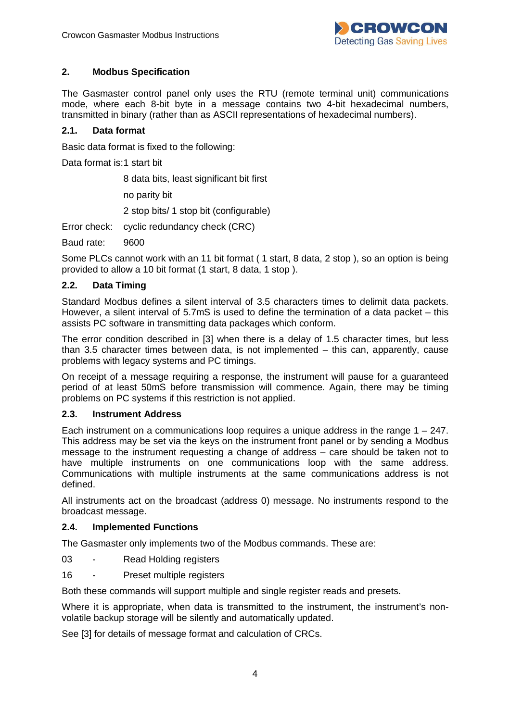

## <span id="page-3-0"></span>**2. Modbus Specification**

The Gasmaster control panel only uses the RTU (remote terminal unit) communications mode, where each 8-bit byte in a message contains two 4-bit hexadecimal numbers, transmitted in binary (rather than as ASCII representations of hexadecimal numbers).

#### <span id="page-3-1"></span>**2.1. Data format**

Basic data format is fixed to the following:

Data format is:1 start bit

8 data bits, least significant bit first

no parity bit

2 stop bits/ 1 stop bit (configurable)

Error check: cyclic redundancy check (CRC)

Baud rate: 9600

Some PLCs cannot work with an 11 bit format ( 1 start, 8 data, 2 stop ), so an option is being provided to allow a 10 bit format (1 start, 8 data, 1 stop ).

## <span id="page-3-2"></span>**2.2. Data Timing**

Standard Modbus defines a silent interval of 3.5 characters times to delimit data packets. However, a silent interval of 5.7mS is used to define the termination of a data packet – this assists PC software in transmitting data packages which conform.

The error condition described in [3] when there is a delay of 1.5 character times, but less than 3.5 character times between data, is not implemented – this can, apparently, cause problems with legacy systems and PC timings.

On receipt of a message requiring a response, the instrument will pause for a guaranteed period of at least 50mS before transmission will commence. Again, there may be timing problems on PC systems if this restriction is not applied.

#### <span id="page-3-3"></span>**2.3. Instrument Address**

Each instrument on a communications loop requires a unique address in the range  $1 - 247$ . This address may be set via the keys on the instrument front panel or by sending a Modbus message to the instrument requesting a change of address – care should be taken not to have multiple instruments on one communications loop with the same address. Communications with multiple instruments at the same communications address is not defined.

All instruments act on the broadcast (address 0) message. No instruments respond to the broadcast message.

#### <span id="page-3-4"></span>**2.4. Implemented Functions**

The Gasmaster only implements two of the Modbus commands. These are:

- 03 Read Holding registers
- 16 Preset multiple registers

Both these commands will support multiple and single register reads and presets.

Where it is appropriate, when data is transmitted to the instrument, the instrument's nonvolatile backup storage will be silently and automatically updated.

See [3] for details of message format and calculation of CRCs.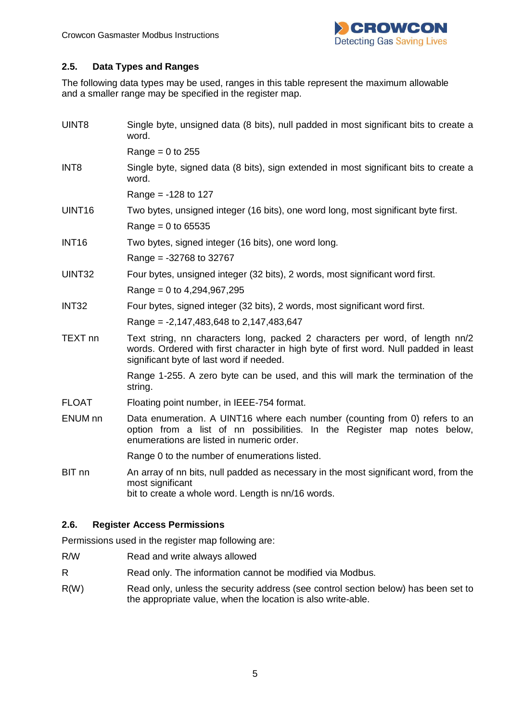

## <span id="page-4-0"></span>**2.5. Data Types and Ranges**

The following data types may be used, ranges in this table represent the maximum allowable and a smaller range may be specified in the register map.

| UINT8              | Single byte, unsigned data (8 bits), null padded in most significant bits to create a<br>word.                                                                                                                    |
|--------------------|-------------------------------------------------------------------------------------------------------------------------------------------------------------------------------------------------------------------|
|                    | Range = $0$ to 255                                                                                                                                                                                                |
| INT <sub>8</sub>   | Single byte, signed data (8 bits), sign extended in most significant bits to create a<br>word.                                                                                                                    |
|                    | Range = $-128$ to 127                                                                                                                                                                                             |
| UINT16             | Two bytes, unsigned integer (16 bits), one word long, most significant byte first.                                                                                                                                |
|                    | $Range = 0$ to 65535                                                                                                                                                                                              |
| <b>INT16</b>       | Two bytes, signed integer (16 bits), one word long.                                                                                                                                                               |
|                    | Range = $-32768$ to 32767                                                                                                                                                                                         |
| UINT32             | Four bytes, unsigned integer (32 bits), 2 words, most significant word first.                                                                                                                                     |
|                    | Range = $0$ to 4,294,967,295                                                                                                                                                                                      |
| INT <sub>32</sub>  | Four bytes, signed integer (32 bits), 2 words, most significant word first.                                                                                                                                       |
|                    | Range = -2,147,483,648 to 2,147,483,647                                                                                                                                                                           |
| TEXT <sub>nn</sub> | Text string, nn characters long, packed 2 characters per word, of length nn/2<br>words. Ordered with first character in high byte of first word. Null padded in least<br>significant byte of last word if needed. |
|                    | Range 1-255. A zero byte can be used, and this will mark the termination of the<br>string.                                                                                                                        |
| <b>FLOAT</b>       | Floating point number, in IEEE-754 format.                                                                                                                                                                        |
| ENUM nn            | Data enumeration. A UINT16 where each number (counting from 0) refers to an<br>option from a list of nn possibilities. In the Register map notes below,<br>enumerations are listed in numeric order.              |
|                    | Range 0 to the number of enumerations listed.                                                                                                                                                                     |
| BIT nn             | An array of nn bits, null padded as necessary in the most significant word, from the<br>most significant<br>bit to create a whole word. Length is nn/16 words.                                                    |

#### <span id="page-4-1"></span>**2.6. Register Access Permissions**

Permissions used in the register map following are:

- R/W Read and write always allowed
- R Read only. The information cannot be modified via Modbus.
- R(W) Read only, unless the security address (see control section below) has been set to the appropriate value, when the location is also write-able.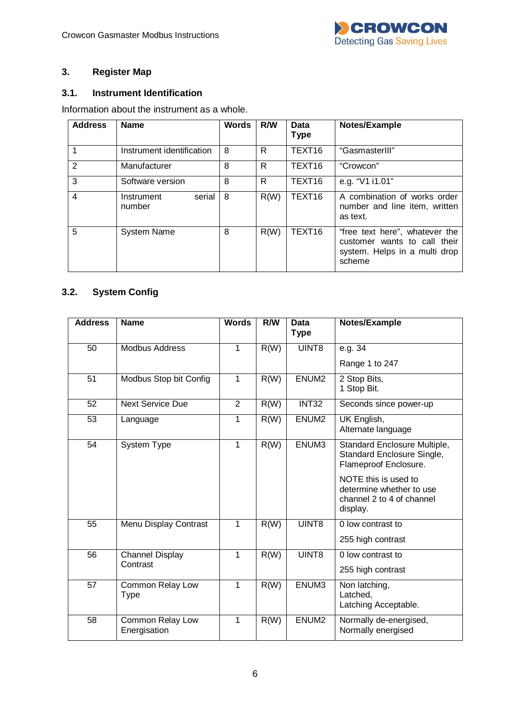

## <span id="page-5-0"></span>**3. Register Map**

## <span id="page-5-1"></span>**3.1. Instrument Identification**

Information about the instrument as a whole.

| <b>Address</b> | <b>Name</b>                    | <b>Words</b> | R/W  | Data<br><b>Type</b> | Notes/Example                                                                                             |
|----------------|--------------------------------|--------------|------|---------------------|-----------------------------------------------------------------------------------------------------------|
|                | Instrument identification      | 8            | R    | TEXT <sub>16</sub>  | "GasmasterIII"                                                                                            |
| 2              | Manufacturer                   | 8            | R    | TEXT <sub>16</sub>  | "Crowcon"                                                                                                 |
| 3              | Software version               | 8            | R    | TEXT16              | e.g. "V1 i1.01"                                                                                           |
| $\overline{4}$ | serial<br>Instrument<br>number | 8            | R(W) | TEXT16              | A combination of works order<br>number and line item, written<br>as text.                                 |
| 5              | <b>System Name</b>             | 8            | R(W) | TEXT16              | "free text here", whatever the<br>customer wants to call their<br>system. Helps in a multi drop<br>scheme |

## <span id="page-5-2"></span>**3.2. System Config**

| <b>Address</b> | <b>Name</b>                      | <b>Words</b>   | R/W  | Data<br><b>Type</b> | Notes/Example                                                                             |
|----------------|----------------------------------|----------------|------|---------------------|-------------------------------------------------------------------------------------------|
|                |                                  |                |      |                     |                                                                                           |
| 50             | <b>Modbus Address</b>            | $\mathbf{1}$   | R(W) | UINT8               | e.g. $34$                                                                                 |
|                |                                  |                |      |                     | Range 1 to 247                                                                            |
| 51             | Modbus Stop bit Config           | 1              | R(W) | ENUM <sub>2</sub>   | 2 Stop Bits,<br>1 Stop Bit.                                                               |
| 52             | <b>Next Service Due</b>          | $\overline{2}$ | R(W) | <b>INT32</b>        | Seconds since power-up                                                                    |
| 53             | Language                         | 1              | R(W) | ENUM <sub>2</sub>   | UK English,<br>Alternate language                                                         |
| 54             | System Type                      | $\mathbf{1}$   | R(W) | ENUM3               | Standard Enclosure Multiple,<br>Standard Enclosure Single,<br>Flameproof Enclosure.       |
|                |                                  |                |      |                     | NOTE this is used to<br>determine whether to use<br>channel 2 to 4 of channel<br>display. |
| 55             | Menu Display Contrast            | 1              | R(W) | UINT8               | 0 low contrast to                                                                         |
|                |                                  |                |      |                     | 255 high contrast                                                                         |
| 56             | <b>Channel Display</b>           | 1              | R(W) | UINT8               | 0 low contrast to                                                                         |
|                | Contrast                         |                |      |                     | 255 high contrast                                                                         |
| 57             | Common Relay Low<br>Type         | $\mathbf{1}$   | R(W) | ENUM3               | Non latching,<br>Latched,<br>Latching Acceptable.                                         |
| 58             | Common Relay Low<br>Energisation | 1              | R(W) | ENUM <sub>2</sub>   | Normally de-energised,<br>Normally energised                                              |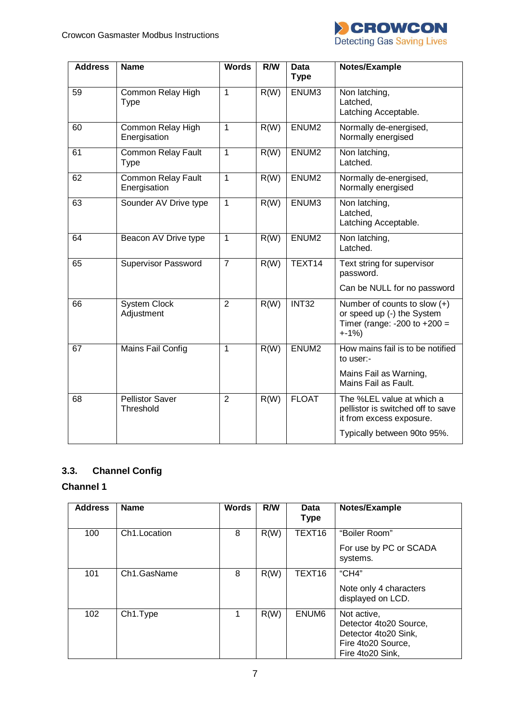

| <b>Address</b> | <b>Name</b>                               | <b>Words</b>   | R/W  | <b>Data</b><br><b>Type</b> | Notes/Example                                                                                                             |
|----------------|-------------------------------------------|----------------|------|----------------------------|---------------------------------------------------------------------------------------------------------------------------|
| 59             | Common Relay High<br>Type                 | 1              | R(W) | ENUM3                      | Non latching,<br>Latched,<br>Latching Acceptable.                                                                         |
| 60             | Common Relay High<br>Energisation         | 1              | R(W) | ENUM <sub>2</sub>          | Normally de-energised,<br>Normally energised                                                                              |
| 61             | <b>Common Relay Fault</b><br>Type         | 1              | R(W) | ENUM <sub>2</sub>          | Non latching,<br>Latched.                                                                                                 |
| 62             | <b>Common Relay Fault</b><br>Energisation | $\mathbf{1}$   | R(W) | ENUM <sub>2</sub>          | Normally de-energised,<br>Normally energised                                                                              |
| 63             | Sounder AV Drive type                     | 1              | R(W) | ENUM3                      | Non latching,<br>Latched,<br>Latching Acceptable.                                                                         |
| 64             | Beacon AV Drive type                      | 1              | R(W) | ENUM <sub>2</sub>          | Non latching,<br>Latched.                                                                                                 |
| 65             | <b>Supervisor Password</b>                | $\overline{7}$ | R(W) | TEXT14                     | Text string for supervisor<br>password.<br>Can be NULL for no password                                                    |
| 66             | <b>System Clock</b><br>Adjustment         | $\overline{2}$ | R(W) | <b>INT32</b>               | Number of counts to slow $(+)$<br>or speed up (-) the System<br>Timer (range: -200 to +200 =<br>$+ -1\%$ )                |
| 67             | Mains Fail Config                         | 1              | R(W) | ENUM <sub>2</sub>          | How mains fail is to be notified<br>to user:-                                                                             |
|                |                                           |                |      |                            | Mains Fail as Warning,<br>Mains Fail as Fault.                                                                            |
| 68             | <b>Pellistor Saver</b><br>Threshold       | $\overline{2}$ | R(W) | <b>FLOAT</b>               | The %LEL value at which a<br>pellistor is switched off to save<br>it from excess exposure.<br>Typically between 90to 95%. |
|                |                                           |                |      |                            |                                                                                                                           |

# <span id="page-6-0"></span>**3.3. Channel Config**

## **Channel 1**

| <b>Address</b> | <b>Name</b>                | Words | R/W  | Data<br><b>Type</b> | Notes/Example                                                                                           |
|----------------|----------------------------|-------|------|---------------------|---------------------------------------------------------------------------------------------------------|
| 100            | Ch <sub>1</sub> . Location | 8     | R(W) | TEXT16              | "Boiler Room"<br>For use by PC or SCADA<br>systems.                                                     |
| 101            | Ch1.GasName                | 8     | R(W) | TEXT16              | "CH4"<br>Note only 4 characters<br>displayed on LCD.                                                    |
| 102            | Ch1.Type                   |       | R(W) | ENUM6               | Not active,<br>Detector 4to20 Source,<br>Detector 4to20 Sink,<br>Fire 4to20 Source,<br>Fire 4to20 Sink, |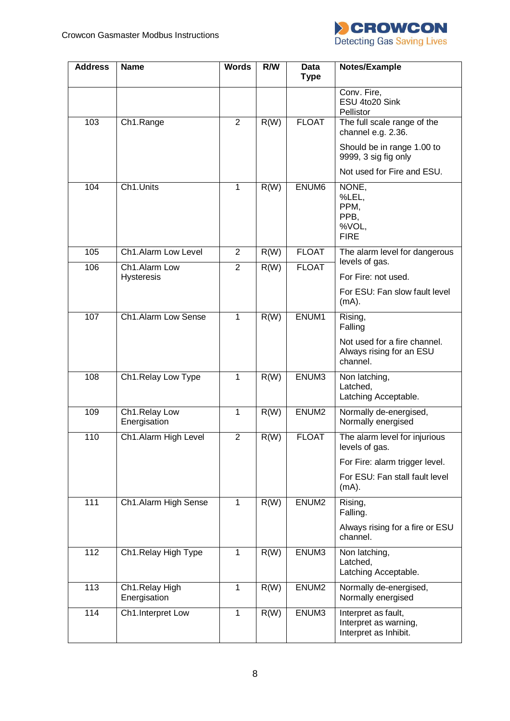

| <b>Address</b> | <b>Name</b>                        | <b>Words</b>            | R/W  | <b>Data</b><br><b>Type</b> | Notes/Example                                                         |
|----------------|------------------------------------|-------------------------|------|----------------------------|-----------------------------------------------------------------------|
|                |                                    |                         |      |                            | Conv. Fire,<br>ESU 4to20 Sink<br>Pellistor                            |
| 103            | Ch1.Range                          | 2                       | R(W) | <b>FLOAT</b>               | The full scale range of the<br>channel e.g. 2.36.                     |
|                |                                    |                         |      |                            | Should be in range 1.00 to<br>9999, 3 sig fig only                    |
|                |                                    |                         |      |                            | Not used for Fire and ESU.                                            |
| 104            | Ch1.Units                          | 1                       | R(W) | ENUM6                      | NONE,<br>%LEL,<br>PPM,<br>PPB,<br>%VOL,<br><b>FIRE</b>                |
| 105            | Ch1.Alarm Low Level                | $\overline{2}$          | R(W) | <b>FLOAT</b>               | The alarm level for dangerous<br>levels of gas.                       |
| 106            | Ch1.Alarm Low<br><b>Hysteresis</b> | $\overline{2}$          | R(W) | <b>FLOAT</b>               | For Fire: not used.                                                   |
|                |                                    |                         |      |                            | For ESU: Fan slow fault level<br>$(mA)$ .                             |
| 107            | Ch1.Alarm Low Sense                | 1                       | R(W) | ENUM1                      | Rising,<br>Falling                                                    |
|                |                                    |                         |      |                            | Not used for a fire channel.<br>Always rising for an ESU<br>channel.  |
| 108            | Ch1.Relay Low Type                 | $\mathbf{1}$            | R(W) | ENUM3                      | Non latching,<br>Latched,<br>Latching Acceptable.                     |
| 109            | Ch1.Relay Low<br>Energisation      | 1                       | R(W) | ENUM <sub>2</sub>          | Normally de-energised,<br>Normally energised                          |
| 110            | Ch1.Alarm High Level               | $\overline{\mathbf{c}}$ | R(W) | <b>FLOAT</b>               | The alarm level for injurious<br>levels of gas.                       |
|                |                                    |                         |      |                            | For Fire: alarm trigger level.                                        |
|                |                                    |                         |      |                            | For ESU: Fan stall fault level<br>$(mA)$ .                            |
| 111            | Ch1.Alarm High Sense               | $\mathbf{1}$            | R(W) | ENUM <sub>2</sub>          | Rising,<br>Falling.                                                   |
|                |                                    |                         |      |                            | Always rising for a fire or ESU<br>channel.                           |
| 112            | Ch1.Relay High Type                | $\mathbf{1}$            | R(W) | ENUM3                      | Non latching,<br>Latched,<br>Latching Acceptable.                     |
| 113            | Ch1.Relay High<br>Energisation     | 1                       | R(W) | ENUM <sub>2</sub>          | Normally de-energised,<br>Normally energised                          |
| 114            | Ch1.Interpret Low                  | $\mathbf{1}$            | R(W) | ENUM3                      | Interpret as fault,<br>Interpret as warning,<br>Interpret as Inhibit. |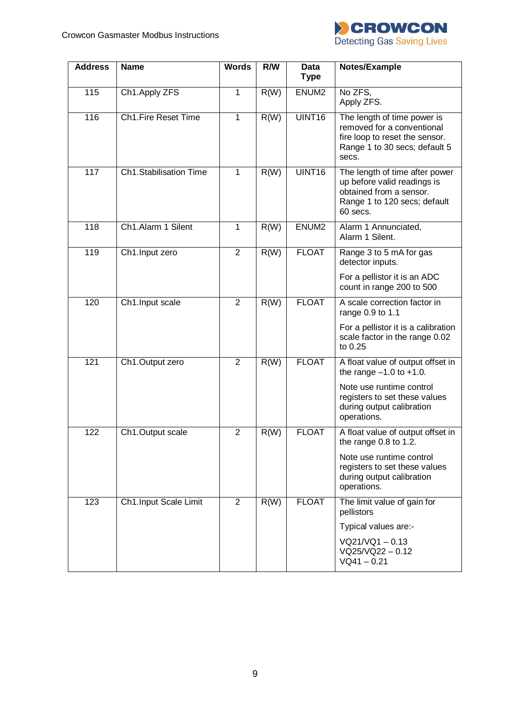

| <b>Address</b> | <b>Name</b>                | <b>Words</b>   | R/W  | <b>Data</b><br><b>Type</b> | Notes/Example                                                                                                                         |
|----------------|----------------------------|----------------|------|----------------------------|---------------------------------------------------------------------------------------------------------------------------------------|
| 115            | Ch1.Apply ZFS              | 1              | R(W) | ENUM <sub>2</sub>          | No ZFS,<br>Apply ZFS.                                                                                                                 |
| 116            | <b>Ch1.Fire Reset Time</b> | $\mathbf{1}$   | R(W) | UINT16                     | The length of time power is<br>removed for a conventional<br>fire loop to reset the sensor.<br>Range 1 to 30 secs; default 5<br>secs. |
| 117            | Ch1.Stabilisation Time     | 1              | R(W) | UINT <sub>16</sub>         | The length of time after power<br>up before valid readings is<br>obtained from a sensor.<br>Range 1 to 120 secs; default<br>60 secs.  |
| 118            | Ch1.Alarm 1 Silent         | $\mathbf{1}$   | R(W) | ENUM <sub>2</sub>          | Alarm 1 Annunciated,<br>Alarm 1 Silent.                                                                                               |
| 119            | Ch1.Input zero             | $\overline{2}$ | R(W) | <b>FLOAT</b>               | Range 3 to 5 mA for gas<br>detector inputs.                                                                                           |
|                |                            |                |      |                            | For a pellistor it is an ADC<br>count in range 200 to 500                                                                             |
| 120            | Ch1.Input scale            | $\overline{2}$ | R(W) | <b>FLOAT</b>               | A scale correction factor in<br>range 0.9 to 1.1                                                                                      |
|                |                            |                |      |                            | For a pellistor it is a calibration<br>scale factor in the range 0.02<br>to 0.25                                                      |
| 121            | Ch1.Output zero            | $\overline{2}$ | R(W) | <b>FLOAT</b>               | A float value of output offset in<br>the range $-1.0$ to $+1.0$ .                                                                     |
|                |                            |                |      |                            | Note use runtime control<br>registers to set these values<br>during output calibration<br>operations.                                 |
| 122            | Ch1.Output scale           | $\overline{2}$ | R(W) | <b>FLOAT</b>               | A float value of output offset in<br>the range 0.8 to 1.2.                                                                            |
|                |                            |                |      |                            | Note use runtime control<br>registers to set these values<br>during output calibration<br>operations.                                 |
| 123            | Ch1.Input Scale Limit      | $\overline{2}$ | R(W) | <b>FLOAT</b>               | The limit value of gain for<br>pellistors                                                                                             |
|                |                            |                |      |                            | Typical values are:-                                                                                                                  |
|                |                            |                |      |                            | $VQ21/VQ1 - 0.13$<br>$VQ25/VQ22 - 0.12$<br>$VQ41 - 0.21$                                                                              |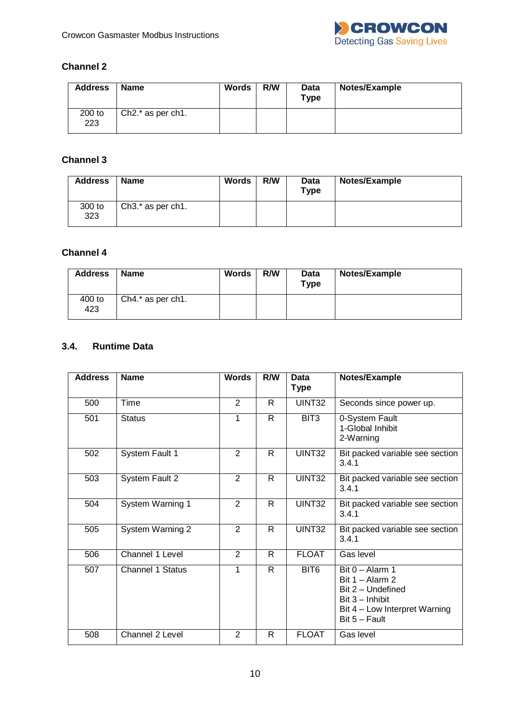

## **Channel 2**

| <b>Address</b> | <b>Name</b>         | <b>Words</b> | R/W | Data<br>$T$ ype | Notes/Example |
|----------------|---------------------|--------------|-----|-----------------|---------------|
| 200 to<br>223  | $Ch2.*$ as per ch1. |              |     |                 |               |

## **Channel 3**

| <b>Address</b> | <b>Name</b>                                 | <b>Words</b> | R/W | Data<br><b>Type</b> | Notes/Example |
|----------------|---------------------------------------------|--------------|-----|---------------------|---------------|
| 300 to<br>323  | Ch <sub>3</sub> .* as per ch <sub>1</sub> . |              |     |                     |               |

## **Channel 4**

| <b>Address</b> | <b>Name</b>         | <b>Words</b> | R/W | Data<br><b>Type</b> | Notes/Example |
|----------------|---------------------|--------------|-----|---------------------|---------------|
| 400 to<br>423  | $Ch4.*$ as per ch1. |              |     |                     |               |

## <span id="page-9-0"></span>**3.4. Runtime Data**

| <b>Address</b> | <b>Name</b>             | <b>Words</b>   | R/W          | Data<br><b>Type</b> | Notes/Example                                                                                                                        |
|----------------|-------------------------|----------------|--------------|---------------------|--------------------------------------------------------------------------------------------------------------------------------------|
| 500            | Time                    | 2              | R            | UINT32              | Seconds since power up.                                                                                                              |
| 501            | <b>Status</b>           | 1              | $\mathsf{R}$ | BIT3                | 0-System Fault<br>1-Global Inhibit<br>2-Warning                                                                                      |
| 502            | System Fault 1          | 2              | R            | UINT32              | Bit packed variable see section<br>3.4.1                                                                                             |
| 503            | <b>System Fault 2</b>   | 2              | R.           | UINT32              | Bit packed variable see section<br>3.4.1                                                                                             |
| 504            | System Warning 1        | $\overline{2}$ | R.           | UINT32              | Bit packed variable see section<br>3.4.1                                                                                             |
| 505            | <b>System Warning 2</b> | $\overline{2}$ | R.           | UINT32              | Bit packed variable see section<br>3.4.1                                                                                             |
| 506            | Channel 1 Level         | $\overline{2}$ | R            | <b>FLOAT</b>        | Gas level                                                                                                                            |
| 507            | <b>Channel 1 Status</b> | 1              | R            | BIT <sub>6</sub>    | Bit $0 -$ Alarm 1<br>Bit $1 -$ Alarm 2<br>Bit 2 - Undefined<br>$Bit 3 - Inhibit$<br>Bit 4 - Low Interpret Warning<br>$Bit 5 - Fault$ |
| 508            | Channel 2 Level         | $\overline{2}$ | R            | <b>FLOAT</b>        | Gas level                                                                                                                            |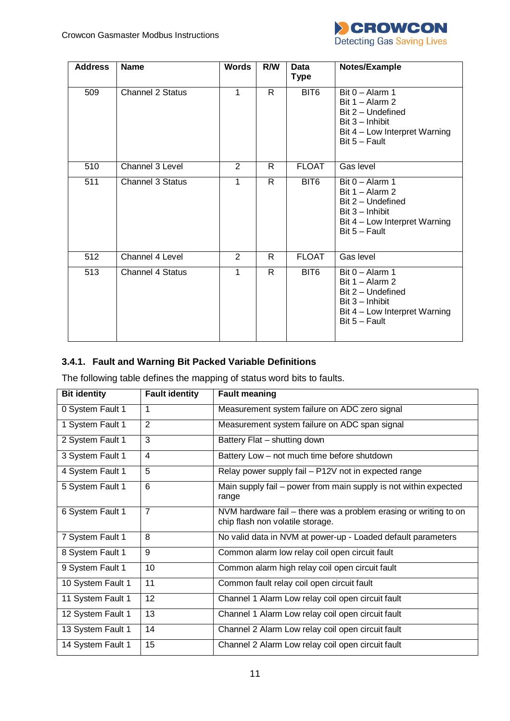

| <b>Address</b> | <b>Name</b>             | <b>Words</b>   | R/W          | <b>Data</b><br><b>Type</b> | Notes/Example                                                                                                                        |
|----------------|-------------------------|----------------|--------------|----------------------------|--------------------------------------------------------------------------------------------------------------------------------------|
| 509            | <b>Channel 2 Status</b> | 1              | $\mathsf{R}$ | BIT <sub>6</sub>           | Bit $0 -$ Alarm 1<br>Bit $1 -$ Alarm 2<br>Bit 2 - Undefined<br>$Bit 3 - Inhibit$<br>Bit 4 - Low Interpret Warning<br>$Bit 5 - Fault$ |
| 510            | Channel 3 Level         | $\overline{2}$ | R            | <b>FLOAT</b>               | Gas level                                                                                                                            |
| 511            | <b>Channel 3 Status</b> | 1              | $\mathsf{R}$ | BIT <sub>6</sub>           | Bit $0 -$ Alarm 1<br>Bit $1 -$ Alarm 2<br>Bit 2 - Undefined<br>$Bit 3 - Inhibit$<br>Bit 4 – Low Interpret Warning<br>$Bit 5 - Fault$ |
| 512            | Channel 4 Level         | $\overline{2}$ | R            | <b>FLOAT</b>               | Gas level                                                                                                                            |
| 513            | <b>Channel 4 Status</b> | 1              | R.           | BIT <sub>6</sub>           | Bit $0 -$ Alarm 1<br>Bit $1 -$ Alarm 2<br>Bit 2 - Undefined<br>$Bit 3 - Inhibit$<br>Bit 4 – Low Interpret Warning<br>Bit $5 -$ Fault |

## <span id="page-10-0"></span>**3.4.1. Fault and Warning Bit Packed Variable Definitions**

The following table defines the mapping of status word bits to faults.

| <b>Bit identity</b> | <b>Fault identity</b> | <b>Fault meaning</b>                                                                                 |
|---------------------|-----------------------|------------------------------------------------------------------------------------------------------|
| 0 System Fault 1    | 1                     | Measurement system failure on ADC zero signal                                                        |
| 1 System Fault 1    | $\overline{2}$        | Measurement system failure on ADC span signal                                                        |
| 2 System Fault 1    | 3                     | Battery Flat - shutting down                                                                         |
| 3 System Fault 1    | $\overline{4}$        | Battery Low - not much time before shutdown                                                          |
| 4 System Fault 1    | 5                     | Relay power supply fail - P12V not in expected range                                                 |
| 5 System Fault 1    | 6                     | Main supply fail – power from main supply is not within expected<br>range                            |
| 6 System Fault 1    | $\overline{7}$        | NVM hardware fail – there was a problem erasing or writing to on<br>chip flash non volatile storage. |
| 7 System Fault 1    | 8                     | No valid data in NVM at power-up - Loaded default parameters                                         |
| 8 System Fault 1    | 9                     | Common alarm low relay coil open circuit fault                                                       |
| 9 System Fault 1    | 10                    | Common alarm high relay coil open circuit fault                                                      |
| 10 System Fault 1   | 11                    | Common fault relay coil open circuit fault                                                           |
| 11 System Fault 1   | 12                    | Channel 1 Alarm Low relay coil open circuit fault                                                    |
| 12 System Fault 1   | 13                    | Channel 1 Alarm Low relay coil open circuit fault                                                    |
| 13 System Fault 1   | 14                    | Channel 2 Alarm Low relay coil open circuit fault                                                    |
| 14 System Fault 1   | 15                    | Channel 2 Alarm Low relay coil open circuit fault                                                    |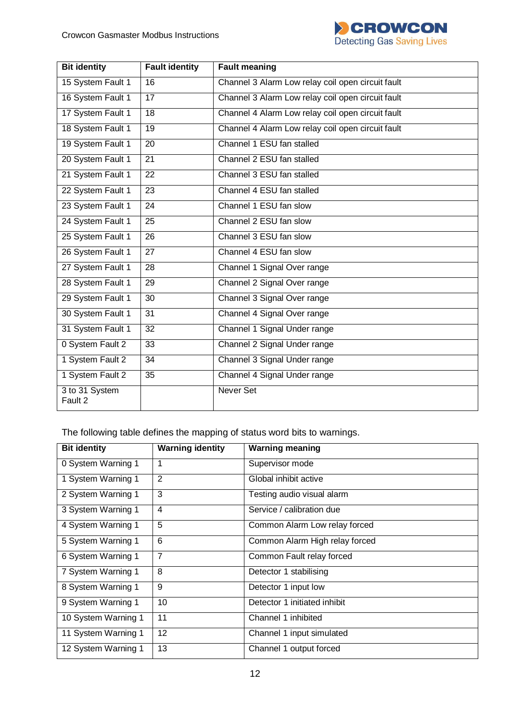

| <b>Bit identity</b>       | <b>Fault identity</b> | <b>Fault meaning</b>                              |
|---------------------------|-----------------------|---------------------------------------------------|
| 15 System Fault 1         | 16                    | Channel 3 Alarm Low relay coil open circuit fault |
| 16 System Fault 1         | 17                    | Channel 3 Alarm Low relay coil open circuit fault |
| 17 System Fault 1         | 18                    | Channel 4 Alarm Low relay coil open circuit fault |
| 18 System Fault 1         | 19                    | Channel 4 Alarm Low relay coil open circuit fault |
| 19 System Fault 1         | 20                    | Channel 1 ESU fan stalled                         |
| 20 System Fault 1         | 21                    | Channel 2 ESU fan stalled                         |
| 21 System Fault 1         | 22                    | Channel 3 ESU fan stalled                         |
| 22 System Fault 1         | 23                    | Channel 4 ESU fan stalled                         |
| 23 System Fault 1         | 24                    | Channel 1 ESU fan slow                            |
| 24 System Fault 1         | 25                    | Channel 2 ESU fan slow                            |
| 25 System Fault 1         | $\overline{26}$       | Channel 3 ESU fan slow                            |
| 26 System Fault 1         | 27                    | Channel 4 ESU fan slow                            |
| 27 System Fault 1         | 28                    | Channel 1 Signal Over range                       |
| 28 System Fault 1         | 29                    | Channel 2 Signal Over range                       |
| 29 System Fault 1         | 30                    | Channel 3 Signal Over range                       |
| 30 System Fault 1         | 31                    | Channel 4 Signal Over range                       |
| 31 System Fault 1         | 32                    | Channel 1 Signal Under range                      |
| 0 System Fault 2          | $\overline{33}$       | Channel 2 Signal Under range                      |
| 1 System Fault 2          | 34                    | Channel 3 Signal Under range                      |
| 1 System Fault 2          | 35                    | Channel 4 Signal Under range                      |
| 3 to 31 System<br>Fault 2 |                       | <b>Never Set</b>                                  |

The following table defines the mapping of status word bits to warnings.

| <b>Bit identity</b> | <b>Warning identity</b> | <b>Warning meaning</b>         |
|---------------------|-------------------------|--------------------------------|
| 0 System Warning 1  |                         | Supervisor mode                |
| 1 System Warning 1  | $\overline{2}$          | Global inhibit active          |
| 2 System Warning 1  | 3                       | Testing audio visual alarm     |
| 3 System Warning 1  | $\overline{4}$          | Service / calibration due      |
| 4 System Warning 1  | 5                       | Common Alarm Low relay forced  |
| 5 System Warning 1  | 6                       | Common Alarm High relay forced |
| 6 System Warning 1  | $\overline{7}$          | Common Fault relay forced      |
| 7 System Warning 1  | 8                       | Detector 1 stabilising         |
| 8 System Warning 1  | 9                       | Detector 1 input low           |
| 9 System Warning 1  | 10                      | Detector 1 initiated inhibit   |
| 10 System Warning 1 | 11                      | Channel 1 inhibited            |
| 11 System Warning 1 | 12                      | Channel 1 input simulated      |
| 12 System Warning 1 | 13                      | Channel 1 output forced        |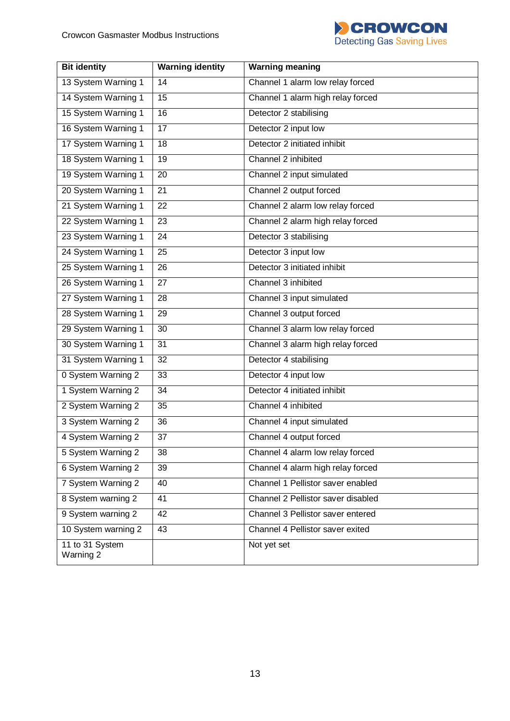

| <b>Bit identity</b>          | <b>Warning identity</b> | <b>Warning meaning</b>             |
|------------------------------|-------------------------|------------------------------------|
| 13 System Warning 1          | 14                      | Channel 1 alarm low relay forced   |
| 14 System Warning 1          | 15                      | Channel 1 alarm high relay forced  |
| 15 System Warning 1          | 16                      | Detector 2 stabilising             |
| 16 System Warning 1          | 17                      | Detector 2 input low               |
| 17 System Warning 1          | 18                      | Detector 2 initiated inhibit       |
| 18 System Warning 1          | 19                      | Channel 2 inhibited                |
| 19 System Warning 1          | 20                      | Channel 2 input simulated          |
| 20 System Warning 1          | 21                      | Channel 2 output forced            |
| 21 System Warning 1          | 22                      | Channel 2 alarm low relay forced   |
| 22 System Warning 1          | 23                      | Channel 2 alarm high relay forced  |
| 23 System Warning 1          | 24                      | Detector 3 stabilising             |
| 24 System Warning 1          | 25                      | Detector 3 input low               |
| 25 System Warning 1          | 26                      | Detector 3 initiated inhibit       |
| 26 System Warning 1          | 27                      | Channel 3 inhibited                |
| 27 System Warning 1          | 28                      | Channel 3 input simulated          |
| 28 System Warning 1          | 29                      | Channel 3 output forced            |
| 29 System Warning 1          | 30                      | Channel 3 alarm low relay forced   |
| 30 System Warning 1          | 31                      | Channel 3 alarm high relay forced  |
| 31 System Warning 1          | 32                      | Detector 4 stabilising             |
| 0 System Warning 2           | 33                      | Detector 4 input low               |
| 1 System Warning 2           | 34                      | Detector 4 initiated inhibit       |
| 2 System Warning 2           | 35                      | Channel 4 inhibited                |
| 3 System Warning 2           | 36                      | Channel 4 input simulated          |
| 4 System Warning 2           | $\overline{37}$         | Channel 4 output forced            |
| 5 System Warning 2           | 38                      | Channel 4 alarm low relay forced   |
| 6 System Warning 2           | 39                      | Channel 4 alarm high relay forced  |
| 7 System Warning 2           | 40                      | Channel 1 Pellistor saver enabled  |
| 8 System warning 2           | 41                      | Channel 2 Pellistor saver disabled |
| 9 System warning 2           | 42                      | Channel 3 Pellistor saver entered  |
| 10 System warning 2          | 43                      | Channel 4 Pellistor saver exited   |
| 11 to 31 System<br>Warning 2 |                         | Not yet set                        |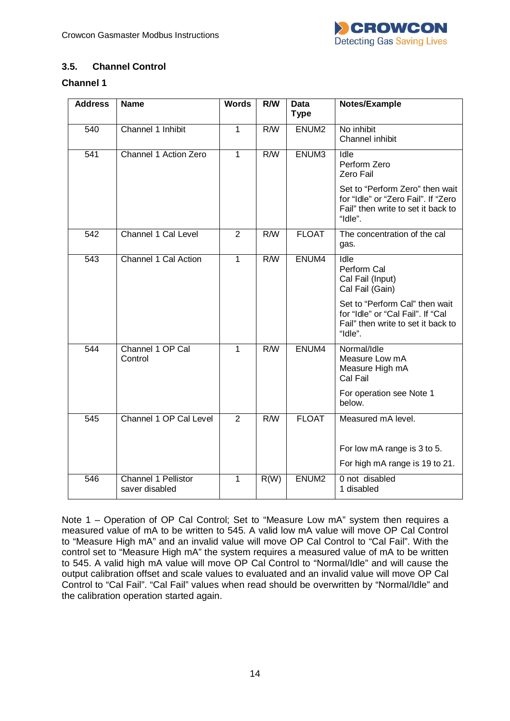

## <span id="page-13-0"></span>**3.5. Channel Control**

### **Channel 1**

| <b>Address</b> | <b>Name</b>                           | <b>Words</b>   | <b>R/W</b> | <b>Data</b><br><b>Type</b> | Notes/Example                                                                                                           |
|----------------|---------------------------------------|----------------|------------|----------------------------|-------------------------------------------------------------------------------------------------------------------------|
| 540            | Channel 1 Inhibit                     | $\mathbf{1}$   | R/W        | ENUM <sub>2</sub>          | No inhibit<br>Channel inhibit                                                                                           |
| 541            | Channel 1 Action Zero                 | $\mathbf{1}$   | R/W        | ENUM3                      | Idle<br>Perform Zero<br>Zero Fail                                                                                       |
|                |                                       |                |            |                            | Set to "Perform Zero" then wait<br>for "Idle" or "Zero Fail". If "Zero<br>Fail" then write to set it back to<br>"Idle". |
| 542            | Channel 1 Cal Level                   | $\overline{2}$ | R/W        | <b>FLOAT</b>               | The concentration of the cal<br>gas.                                                                                    |
| 543            | Channel 1 Cal Action                  | 1              | R/W        | ENUM4                      | Idle<br>Perform Cal<br>Cal Fail (Input)<br>Cal Fail (Gain)                                                              |
|                |                                       |                |            |                            | Set to "Perform Cal" then wait<br>for "Idle" or "Cal Fail". If "Cal<br>Fail" then write to set it back to<br>"Idle".    |
| 544            | Channel 1 OP Cal<br>Control           | $\mathbf{1}$   | R/W        | ENUM4                      | Normal/Idle<br>Measure Low mA<br>Measure High mA<br>Cal Fail                                                            |
|                |                                       |                |            |                            | For operation see Note 1<br>below.                                                                                      |
| 545            | Channel 1 OP Cal Level                | $\overline{2}$ | R/W        | <b>FLOAT</b>               | Measured mA level.                                                                                                      |
|                |                                       |                |            |                            | For low mA range is 3 to 5.                                                                                             |
|                |                                       |                |            |                            | For high mA range is 19 to 21.                                                                                          |
| 546            | Channel 1 Pellistor<br>saver disabled | $\mathbf{1}$   | R(W)       | ENUM <sub>2</sub>          | 0 not disabled<br>1 disabled                                                                                            |

Note 1 – Operation of OP Cal Control; Set to "Measure Low mA" system then requires a measured value of mA to be written to 545. A valid low mA value will move OP Cal Control to "Measure High mA" and an invalid value will move OP Cal Control to "Cal Fail". With the control set to "Measure High mA" the system requires a measured value of mA to be written to 545. A valid high mA value will move OP Cal Control to "Normal/Idle" and will cause the output calibration offset and scale values to evaluated and an invalid value will move OP Cal Control to "Cal Fail". "Cal Fail" values when read should be overwritten by "Normal/Idle" and the calibration operation started again.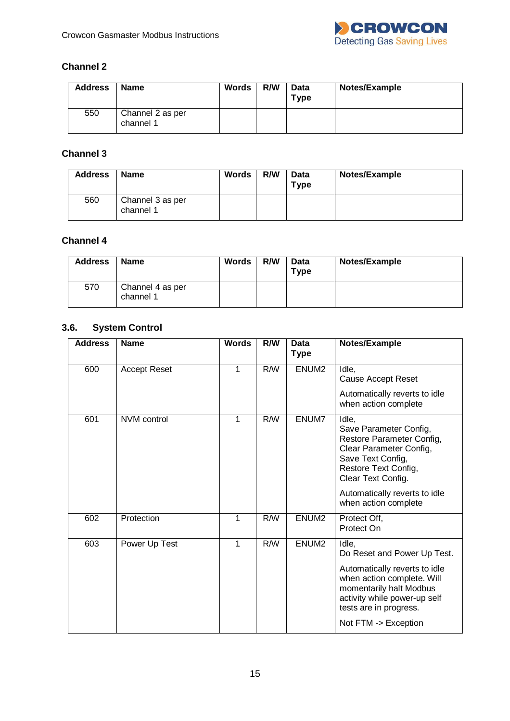

## **Channel 2**

| <b>Address</b> | <b>Name</b>                   | <b>Words</b> | R/W | Data<br>$T$ ype | Notes/Example |
|----------------|-------------------------------|--------------|-----|-----------------|---------------|
| 550            | Channel 2 as per<br>channel 1 |              |     |                 |               |

## **Channel 3**

| <b>Address</b> | <b>Name</b>                   | <b>Words</b> | R/W | <b>Data</b><br>Type | Notes/Example |
|----------------|-------------------------------|--------------|-----|---------------------|---------------|
| 560            | Channel 3 as per<br>channel 1 |              |     |                     |               |

## **Channel 4**

| <b>Address</b> | <b>Name</b>                   | <b>Words</b> | R/W | <b>Data</b><br>Type | Notes/Example |
|----------------|-------------------------------|--------------|-----|---------------------|---------------|
| 570            | Channel 4 as per<br>channel 1 |              |     |                     |               |

# **3.6. System Control**

<span id="page-14-0"></span>

| <b>Address</b> | <b>Name</b>         | <b>Words</b> | R/W | <b>Data</b><br><b>Type</b> | Notes/Example                                                                                                                                                                               |
|----------------|---------------------|--------------|-----|----------------------------|---------------------------------------------------------------------------------------------------------------------------------------------------------------------------------------------|
| 600            | <b>Accept Reset</b> | 1            | R/W | ENUM <sub>2</sub>          | Idle,<br><b>Cause Accept Reset</b>                                                                                                                                                          |
|                |                     |              |     |                            | Automatically reverts to idle<br>when action complete                                                                                                                                       |
| 601            | NVM control         | 1            | R/W | ENUM7                      | Idle,<br>Save Parameter Config,<br>Restore Parameter Config,<br>Clear Parameter Config,<br>Save Text Config,<br>Restore Text Config,<br>Clear Text Config.<br>Automatically reverts to idle |
|                |                     |              |     |                            | when action complete                                                                                                                                                                        |
| 602            | Protection          | 1            | R/W | ENUM <sub>2</sub>          | Protect Off,<br>Protect On                                                                                                                                                                  |
| 603            | Power Up Test       | 1            | R/W | ENUM <sub>2</sub>          | Idle,<br>Do Reset and Power Up Test.                                                                                                                                                        |
|                |                     |              |     |                            | Automatically reverts to idle<br>when action complete. Will<br>momentarily halt Modbus<br>activity while power-up self<br>tests are in progress.<br>Not FTM -> Exception                    |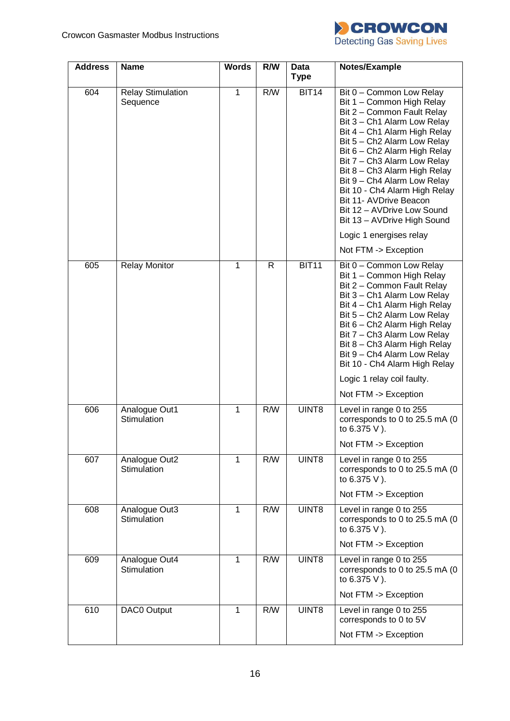

| <b>Address</b> | <b>Name</b>                          | <b>Words</b> | R/W | Data<br><b>Type</b> | Notes/Example                                                                                                                                                                                                                                                                                                                                                                                                                                                      |
|----------------|--------------------------------------|--------------|-----|---------------------|--------------------------------------------------------------------------------------------------------------------------------------------------------------------------------------------------------------------------------------------------------------------------------------------------------------------------------------------------------------------------------------------------------------------------------------------------------------------|
| 604            | <b>Relay Stimulation</b><br>Sequence | 1            | R/W | <b>BIT14</b>        | Bit 0 - Common Low Relay<br>Bit 1 - Common High Relay<br>Bit 2 - Common Fault Relay<br>Bit 3 - Ch1 Alarm Low Relay<br>Bit 4 - Ch1 Alarm High Relay<br>Bit 5 - Ch2 Alarm Low Relay<br>Bit 6 - Ch2 Alarm High Relay<br>Bit 7 - Ch3 Alarm Low Relay<br>Bit 8 - Ch3 Alarm High Relay<br>Bit 9 - Ch4 Alarm Low Relay<br>Bit 10 - Ch4 Alarm High Relay<br>Bit 11- AVDrive Beacon<br>Bit 12 - AVDrive Low Sound<br>Bit 13 - AVDrive High Sound<br>Logic 1 energises relay |
|                |                                      |              |     |                     | Not FTM -> Exception                                                                                                                                                                                                                                                                                                                                                                                                                                               |
| 605            | <b>Relay Monitor</b>                 | 1            | R.  | <b>BIT11</b>        | Bit 0 - Common Low Relay<br>Bit 1 - Common High Relay<br>Bit 2 - Common Fault Relay<br>Bit 3 - Ch1 Alarm Low Relay<br>Bit 4 - Ch1 Alarm High Relay<br>Bit 5 - Ch2 Alarm Low Relay<br>Bit 6 - Ch2 Alarm High Relay<br>Bit 7 - Ch3 Alarm Low Relay<br>Bit 8 - Ch3 Alarm High Relay<br>Bit 9 - Ch4 Alarm Low Relay<br>Bit 10 - Ch4 Alarm High Relay                                                                                                                   |
|                |                                      |              |     |                     | Logic 1 relay coil faulty.                                                                                                                                                                                                                                                                                                                                                                                                                                         |
|                |                                      |              |     |                     | Not FTM -> Exception                                                                                                                                                                                                                                                                                                                                                                                                                                               |
| 606            | Analogue Out1<br>Stimulation         | 1            | R/W | UINT8               | Level in range 0 to 255<br>corresponds to 0 to 25.5 mA (0<br>to 6.375 V).                                                                                                                                                                                                                                                                                                                                                                                          |
|                |                                      |              |     |                     | Not FTM -> Exception                                                                                                                                                                                                                                                                                                                                                                                                                                               |
| 607            | Analogue Out2<br>Stimulation         | 1            | R/W | UINT8               | Level in range 0 to 255<br>corresponds to 0 to 25.5 mA (0<br>to 6.375 V).                                                                                                                                                                                                                                                                                                                                                                                          |
|                |                                      |              |     |                     | Not FTM -> Exception                                                                                                                                                                                                                                                                                                                                                                                                                                               |
| 608            | Analogue Out3<br>Stimulation         | $\mathbf{1}$ | R/W | UINT8               | Level in range 0 to 255<br>corresponds to 0 to 25.5 mA (0<br>to 6.375 V).                                                                                                                                                                                                                                                                                                                                                                                          |
|                |                                      |              |     |                     | Not FTM -> Exception                                                                                                                                                                                                                                                                                                                                                                                                                                               |
| 609            | Analogue Out4<br>Stimulation         | $\mathbf{1}$ | R/W | UINT8               | Level in range 0 to 255<br>corresponds to 0 to 25.5 mA (0<br>to 6.375 V).                                                                                                                                                                                                                                                                                                                                                                                          |
|                |                                      |              |     |                     | Not FTM -> Exception                                                                                                                                                                                                                                                                                                                                                                                                                                               |
| 610            | DAC0 Output                          | $\mathbf{1}$ | R/W | UINT8               | Level in range 0 to 255<br>corresponds to 0 to 5V                                                                                                                                                                                                                                                                                                                                                                                                                  |
|                |                                      |              |     |                     | Not FTM -> Exception                                                                                                                                                                                                                                                                                                                                                                                                                                               |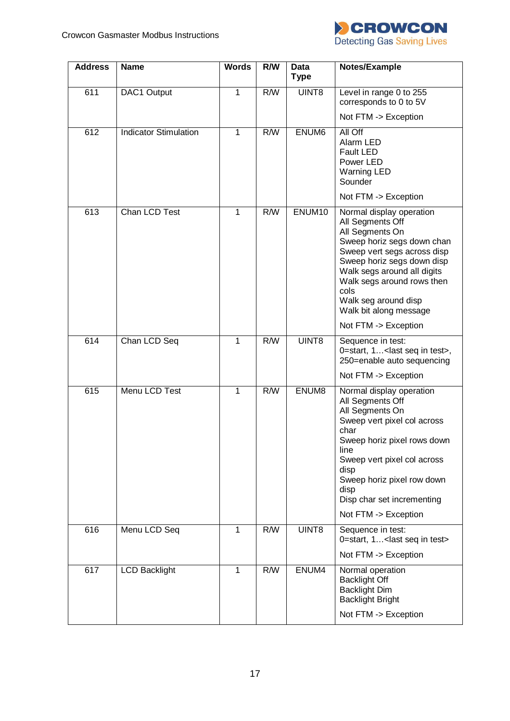

| <b>Address</b>   | <b>Name</b>                  | <b>Words</b> | R/W              | Data<br><b>Type</b> | Notes/Example                                                                                                                                                                                                                                                                                             |
|------------------|------------------------------|--------------|------------------|---------------------|-----------------------------------------------------------------------------------------------------------------------------------------------------------------------------------------------------------------------------------------------------------------------------------------------------------|
| 611              | DAC1 Output                  | 1            | R/W              | UINT8               | Level in range 0 to 255<br>corresponds to 0 to 5V                                                                                                                                                                                                                                                         |
|                  |                              |              |                  |                     | Not FTM -> Exception                                                                                                                                                                                                                                                                                      |
| 612              | <b>Indicator Stimulation</b> | 1            | R/W              | ENUM6               | All Off<br>Alarm LED<br><b>Fault LED</b><br>Power LED<br><b>Warning LED</b><br>Sounder<br>Not FTM -> Exception                                                                                                                                                                                            |
| $\overline{613}$ | Chan LCD Test                | 1            | $\overline{R/W}$ | ENUM10              | Normal display operation<br>All Segments Off<br>All Segments On<br>Sweep horiz segs down chan<br>Sweep vert segs across disp<br>Sweep horiz segs down disp<br>Walk segs around all digits<br>Walk segs around rows then<br>cols<br>Walk seg around disp<br>Walk bit along message<br>Not FTM -> Exception |
| 614              | Chan LCD Seq                 | 1            | R/W              | UINT8               | Sequence in test:                                                                                                                                                                                                                                                                                         |
|                  |                              |              |                  |                     | 0=start, 1 <last in="" seq="" test="">,<br/>250=enable auto sequencing</last>                                                                                                                                                                                                                             |
|                  |                              |              |                  |                     | Not FTM -> Exception                                                                                                                                                                                                                                                                                      |
| 615              | Menu LCD Test                | 1            | R/W              | ENUM8               | Normal display operation<br>All Segments Off<br>All Segments On<br>Sweep vert pixel col across<br>char<br>Sweep horiz pixel rows down<br>line<br>Sweep vert pixel col across<br>disp<br>Sweep horiz pixel row down<br>disp<br>Disp char set incrementing<br>Not FTM -> Exception                          |
| 616              | Menu LCD Seq                 | 1            | R/W              | UINT8               | Sequence in test:<br>0=start, 1< last seq in test>                                                                                                                                                                                                                                                        |
|                  |                              |              |                  |                     | Not FTM -> Exception                                                                                                                                                                                                                                                                                      |
| 617              | <b>LCD Backlight</b>         | $\mathbf{1}$ | R/W              | ENUM4               | Normal operation<br><b>Backlight Off</b><br><b>Backlight Dim</b><br><b>Backlight Bright</b><br>Not FTM -> Exception                                                                                                                                                                                       |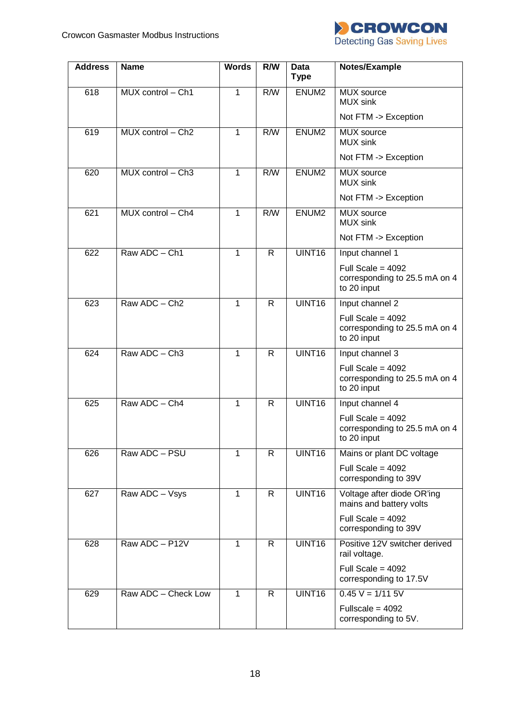

| <b>Address</b> | <b>Name</b>               | <b>Words</b> | R/W          | <b>Data</b><br><b>Type</b> | Notes/Example                                                       |
|----------------|---------------------------|--------------|--------------|----------------------------|---------------------------------------------------------------------|
| 618            | MUX control - Ch1         | 1            | R/W          | ENUM <sub>2</sub>          | <b>MUX</b> source<br><b>MUX</b> sink                                |
|                |                           |              |              |                            | Not FTM -> Exception                                                |
| 619            | MUX control - Ch2         | $\mathbf{1}$ | R/W          | ENUM <sub>2</sub>          | MUX source<br><b>MUX</b> sink                                       |
|                |                           |              |              |                            | Not FTM -> Exception                                                |
| 620            | $MUX$ control $- Ch3$     | 1            | R/W          | ENUM <sub>2</sub>          | MUX source<br><b>MUX</b> sink                                       |
|                |                           |              |              |                            | Not FTM -> Exception                                                |
| 621            | MUX control - Ch4         | $\mathbf{1}$ | R/W          | ENUM <sub>2</sub>          | MUX source<br><b>MUX</b> sink                                       |
|                |                           |              |              |                            | Not FTM -> Exception                                                |
| 622            | Raw ADC - Ch1             | 1            | $\mathsf{R}$ | UINT16                     | Input channel 1                                                     |
|                |                           |              |              |                            | Full Scale = $4092$<br>corresponding to 25.5 mA on 4<br>to 20 input |
| 623            | Raw ADC - Ch <sub>2</sub> | 1            | $\mathsf{R}$ | UINT16                     | Input channel 2                                                     |
|                |                           |              |              |                            | Full Scale = $4092$<br>corresponding to 25.5 mA on 4<br>to 20 input |
| 624            | Raw ADC - Ch3             | 1            | $\mathsf{R}$ | UINT16                     | Input channel 3                                                     |
|                |                           |              |              |                            | Full Scale = $4092$<br>corresponding to 25.5 mA on 4<br>to 20 input |
| 625            | Raw ADC - Ch4             | 1            | $\mathsf{R}$ | UINT16                     | Input channel 4                                                     |
|                |                           |              |              |                            | Full Scale = $4092$<br>corresponding to 25.5 mA on 4<br>to 20 input |
| 626            | Raw ADC - PSU             | 1            | R            | UINT16                     | Mains or plant DC voltage                                           |
|                |                           |              |              |                            | Full Scale = $4092$<br>corresponding to 39V                         |
| 627            | Raw ADC - Vsys            | 1            | R            | UINT16                     | Voltage after diode OR'ing<br>mains and battery volts               |
|                |                           |              |              |                            | Full Scale = $4092$<br>corresponding to 39V                         |
| 628            | Raw ADC - P12V            | 1            | R            | UINT16                     | Positive 12V switcher derived<br>rail voltage.                      |
|                |                           |              |              |                            | Full Scale = $4092$<br>corresponding to 17.5V                       |
| 629            | Raw ADC - Check Low       | 1            | R            | UINT16                     | $0.45 V = 1/11 5V$                                                  |
|                |                           |              |              |                            | Fullscale = $4092$<br>corresponding to 5V.                          |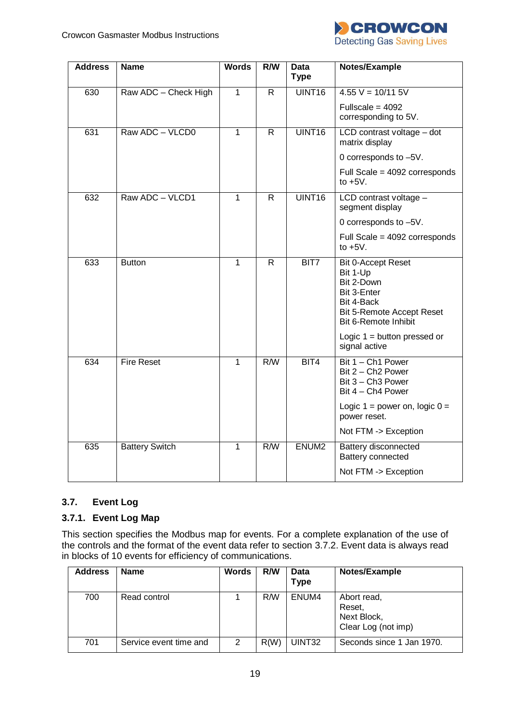

| <b>Address</b> | <b>Name</b>           | <b>Words</b> | R/W              | Data<br><b>Type</b> | Notes/Example                                                                                                                         |
|----------------|-----------------------|--------------|------------------|---------------------|---------------------------------------------------------------------------------------------------------------------------------------|
| 630            | Raw ADC - Check High  | $\mathbf{1}$ | $\overline{R}$   | UINT16              | $4.55 V = 10/11 5V$                                                                                                                   |
|                |                       |              |                  |                     | Fullscale = $4092$<br>corresponding to 5V.                                                                                            |
| 631            | Raw ADC - VLCD0       | 1            | $\overline{R}$   | UINT <sub>16</sub>  | LCD contrast voltage - dot<br>matrix display                                                                                          |
|                |                       |              |                  |                     | 0 corresponds to -5V.                                                                                                                 |
|                |                       |              |                  |                     | Full Scale = 4092 corresponds<br>to $+5V$ .                                                                                           |
| 632            | Raw ADC - VLCD1       | 1            | R                | UINT16              | LCD contrast voltage -<br>segment display                                                                                             |
|                |                       |              |                  |                     | 0 corresponds to -5V.                                                                                                                 |
|                |                       |              |                  |                     | Full Scale = 4092 corresponds<br>to $+5V$ .                                                                                           |
| 633            | <b>Button</b>         | 1            | $\mathsf{R}$     | BIT7                | <b>Bit 0-Accept Reset</b><br>Bit 1-Up<br>Bit 2-Down<br>Bit 3-Enter<br>Bit 4-Back<br>Bit 5-Remote Accept Reset<br>Bit 6-Remote Inhibit |
|                |                       |              |                  |                     | Logic $1 =$ button pressed or<br>signal active                                                                                        |
| 634            | <b>Fire Reset</b>     | $\mathbf{1}$ | $\overline{R/W}$ | BIT4                | Bit 1 - Ch1 Power<br>Bit 2 - Ch <sub>2</sub> Power<br>Bit 3 - Ch3 Power<br>Bit 4 - Ch4 Power                                          |
|                |                       |              |                  |                     | Logic $1 = power$ on, logic $0 =$<br>power reset.                                                                                     |
|                |                       |              |                  |                     | Not FTM -> Exception                                                                                                                  |
| 635            | <b>Battery Switch</b> | 1            | R/W              | ENUM <sub>2</sub>   | Battery disconnected<br>Battery connected                                                                                             |
|                |                       |              |                  |                     | Not FTM -> Exception                                                                                                                  |

## <span id="page-18-0"></span>**3.7. Event Log**

## <span id="page-18-1"></span>**3.7.1. Event Log Map**

This section specifies the Modbus map for events. For a complete explanation of the use of the controls and the format of the event data refer to section [3.7.2.](#page-19-0) Event data is always read in blocks of 10 events for efficiency of communications.

| <b>Address</b> | <b>Name</b>            | <b>Words</b> | R/W  | Data<br>Type | Notes/Example                                               |
|----------------|------------------------|--------------|------|--------------|-------------------------------------------------------------|
| 700            | Read control           |              | R/W  | ENUM4        | Abort read,<br>Reset,<br>Next Block,<br>Clear Log (not imp) |
| 701            | Service event time and | 2            | R(W) | UINT32       | Seconds since 1 Jan 1970.                                   |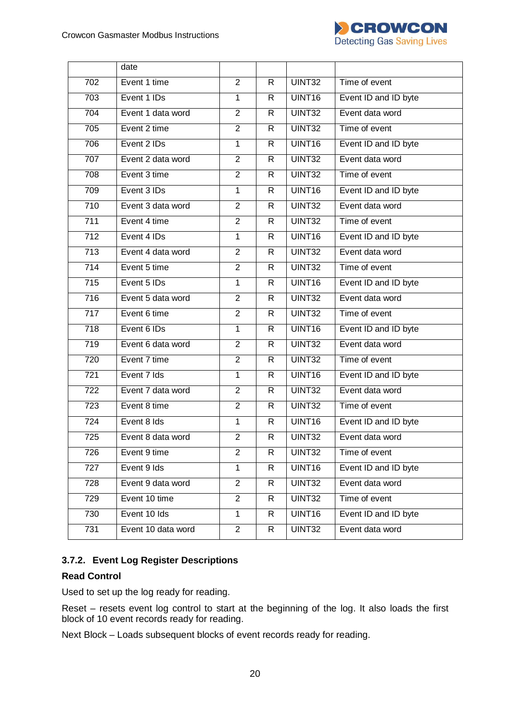

|                  | date               |                |              |                    |                      |
|------------------|--------------------|----------------|--------------|--------------------|----------------------|
| 702              | Event 1 time       | $\overline{2}$ | $\mathsf{R}$ | UINT32             | Time of event        |
| 703              | Event 1 IDs        | $\mathbf{1}$   | $\mathsf{R}$ | UINT16             | Event ID and ID byte |
| 704              | Event 1 data word  | $\overline{2}$ | $\mathsf{R}$ | UINT32             | Event data word      |
| 705              | Event 2 time       | $\overline{2}$ | $\mathsf{R}$ | UINT32             | Time of event        |
| 706              | Event 2 IDs        | $\overline{1}$ | $\mathsf{R}$ | UINT <sub>16</sub> | Event ID and ID byte |
| 707              | Event 2 data word  | $\overline{2}$ | $\mathsf{R}$ | UINT32             | Event data word      |
| 708              | Event 3 time       | $\overline{2}$ | $\mathsf{R}$ | UINT32             | Time of event        |
| 709              | Event 3 IDs        | $\mathbf{1}$   | $\mathsf{R}$ | UINT16             | Event ID and ID byte |
| $\overline{710}$ | Event 3 data word  | $\overline{2}$ | $\mathsf{R}$ | UINT32             | Event data word      |
| 711              | Event 4 time       | $\overline{2}$ | $\mathsf{R}$ | UINT32             | Time of event        |
| $\overline{712}$ | Event 4 IDs        | $\overline{1}$ | $\mathsf{R}$ | UINT <sub>16</sub> | Event ID and ID byte |
| $\overline{713}$ | Event 4 data word  | $\overline{2}$ | $\mathsf{R}$ | UINT32             | Event data word      |
| 714              | Event 5 time       | $\overline{2}$ | $\mathsf{R}$ | UINT32             | Time of event        |
| $\overline{715}$ | Event 5 IDs        | $\mathbf{1}$   | $\mathsf{R}$ | UINT16             | Event ID and ID byte |
| $\overline{716}$ | Event 5 data word  | $\overline{2}$ | $\mathsf{R}$ | UINT32             | Event data word      |
| $\overline{717}$ | Event 6 time       | $\overline{2}$ | $\mathsf{R}$ | UINT32             | Time of event        |
| $\overline{718}$ | Event 6 IDs        | $\overline{1}$ | $\mathsf{R}$ | UINT16             | Event ID and ID byte |
| 719              | Event 6 data word  | $\overline{2}$ | $\mathsf{R}$ | UINT32             | Event data word      |
| 720              | Event 7 time       | $\overline{2}$ | $\mathsf{R}$ | UINT32             | Time of event        |
| 721              | Event 7 Ids        | $\mathbf{1}$   | $\mathsf{R}$ | UINT16             | Event ID and ID byte |
| $\overline{722}$ | Event 7 data word  | $\overline{2}$ | $\mathsf{R}$ | UINT32             | Event data word      |
| 723              | Event 8 time       | $\overline{2}$ | $\mathsf{R}$ | UINT32             | Time of event        |
| $\overline{724}$ | Event 8 Ids        | $\overline{1}$ | $\mathsf{R}$ | UINT16             | Event ID and ID byte |
| $\overline{725}$ | Event 8 data word  | $\overline{2}$ | $\mathsf{R}$ | UINT32             | Event data word      |
| 726              | Event 9 time       | $\overline{2}$ | R            | UINT32             | Time of event        |
| 727              | Event 9 Ids        | $\mathbf{1}$   | R            | UINT16             | Event ID and ID byte |
| 728              | Event 9 data word  | $\overline{2}$ | R            | UINT32             | Event data word      |
| 729              | Event 10 time      | $\overline{2}$ | R.           | UINT32             | Time of event        |
| 730              | Event 10 Ids       | $\mathbf{1}$   | R            | UINT16             | Event ID and ID byte |
| 731              | Event 10 data word | $\overline{2}$ | R            | UINT32             | Event data word      |

## <span id="page-19-0"></span>**3.7.2. Event Log Register Descriptions**

## **Read Control**

Used to set up the log ready for reading.

Reset – resets event log control to start at the beginning of the log. It also loads the first block of 10 event records ready for reading.

Next Block – Loads subsequent blocks of event records ready for reading.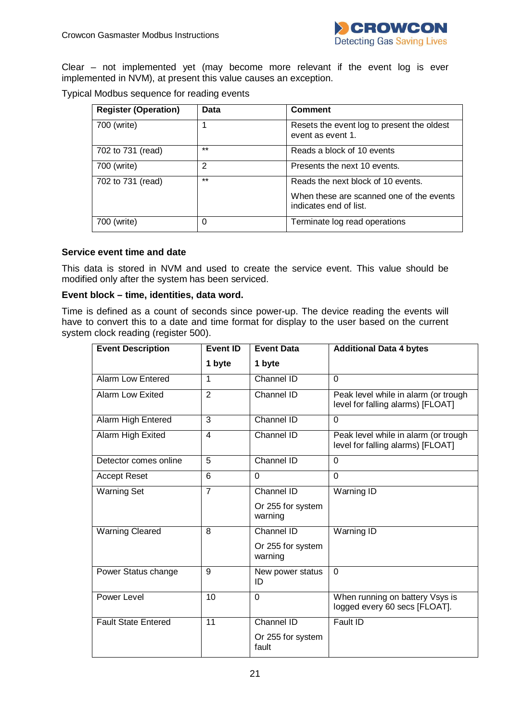

Clear – not implemented yet (may become more relevant if the event log is ever implemented in NVM), at present this value causes an exception.

Typical Modbus sequence for reading events

| <b>Register (Operation)</b> | Data  | <b>Comment</b>                                                                                           |
|-----------------------------|-------|----------------------------------------------------------------------------------------------------------|
| 700 (write)                 |       | Resets the event log to present the oldest<br>event as event 1.                                          |
| 702 to 731 (read)           | $***$ | Reads a block of 10 events                                                                               |
| 700 (write)                 | 2     | Presents the next 10 events.                                                                             |
| 702 to 731 (read)           | $***$ | Reads the next block of 10 events.<br>When these are scanned one of the events<br>indicates end of list. |
| 700 (write)                 | 0     | Terminate log read operations                                                                            |

#### **Service event time and date**

This data is stored in NVM and used to create the service event. This value should be modified only after the system has been serviced.

#### **Event block – time, identities, data word.**

Time is defined as a count of seconds since power-up. The device reading the events will have to convert this to a date and time format for display to the user based on the current system clock reading (register 500).

| <b>Event Description</b>   | <b>Event ID</b><br><b>Event Data</b> |                              | <b>Additional Data 4 bytes</b>                                            |
|----------------------------|--------------------------------------|------------------------------|---------------------------------------------------------------------------|
|                            | 1 byte                               | 1 byte                       |                                                                           |
| <b>Alarm Low Entered</b>   | 1                                    | Channel ID                   | $\Omega$                                                                  |
| <b>Alarm Low Exited</b>    | $\overline{2}$                       | Channel ID                   | Peak level while in alarm (or trough<br>level for falling alarms) [FLOAT] |
| Alarm High Entered         | 3                                    | Channel ID                   | $\Omega$                                                                  |
| Alarm High Exited          | $\overline{4}$                       | Channel ID                   | Peak level while in alarm (or trough<br>level for falling alarms) [FLOAT] |
| Detector comes online      | 5                                    | Channel ID                   | $\Omega$                                                                  |
| <b>Accept Reset</b>        | 6                                    | $\Omega$                     | $\Omega$                                                                  |
| <b>Warning Set</b>         | $\overline{7}$                       | Channel ID                   | Warning ID                                                                |
|                            |                                      | Or 255 for system<br>warning |                                                                           |
| <b>Warning Cleared</b>     | 8                                    | Channel ID                   | Warning ID                                                                |
|                            |                                      | Or 255 for system<br>warning |                                                                           |
| Power Status change        | 9                                    | New power status<br>ID       | $\mathbf 0$                                                               |
| Power Level                | 10                                   | $\Omega$                     | When running on battery Vsys is<br>logged every 60 secs [FLOAT].          |
| <b>Fault State Entered</b> | 11                                   | Channel ID                   | Fault ID                                                                  |
|                            |                                      | Or 255 for system<br>fault   |                                                                           |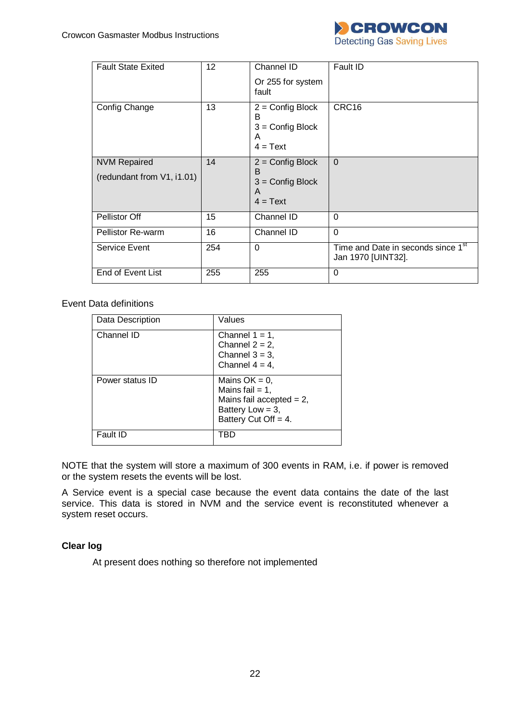

| <b>Fault State Exited</b>  | 12 <sup>2</sup> | Channel ID<br>Or 255 for system                                  | Fault ID                                                             |
|----------------------------|-----------------|------------------------------------------------------------------|----------------------------------------------------------------------|
|                            |                 | fault                                                            |                                                                      |
| Config Change              | 13              | $2 =$ Config Block<br>В<br>$3 =$ Config Block<br>A<br>$4 = Text$ | CRC16                                                                |
| <b>NVM Repaired</b>        | 14              | $2 =$ Config Block<br>B                                          | $\Omega$                                                             |
| (redundant from V1, i1.01) |                 | $3 =$ Config Block<br>A<br>$4 = Text$                            |                                                                      |
| Pellistor Off              | 15              | Channel ID                                                       | $\Omega$                                                             |
| <b>Pellistor Re-warm</b>   | 16              | Channel ID                                                       | $\Omega$                                                             |
| Service Event              | 254             | $\Omega$                                                         | Time and Date in seconds since 1 <sup>st</sup><br>Jan 1970 [UINT32]. |
| End of Event List          | 255             | 255                                                              | $\Omega$                                                             |

Event Data definitions

| Data Description | Values                                                                                                                  |
|------------------|-------------------------------------------------------------------------------------------------------------------------|
| Channel ID       | Channel $1 = 1$ ,<br>Channel $2 = 2$ ,<br>Channel $3 = 3$ ,<br>Channel $4 = 4$ ,                                        |
| Power status ID  | Mains $OK = 0$ ,<br>Mains fail $= 1$ ,<br>Mains fail accepted $= 2$ ,<br>Battery Low = $3$ ,<br>Battery Cut Off $= 4$ . |
| Fault ID         | TRD                                                                                                                     |

NOTE that the system will store a maximum of 300 events in RAM, i.e. if power is removed or the system resets the events will be lost.

A Service event is a special case because the event data contains the date of the last service. This data is stored in NVM and the service event is reconstituted whenever a system reset occurs.

#### **Clear log**

At present does nothing so therefore not implemented